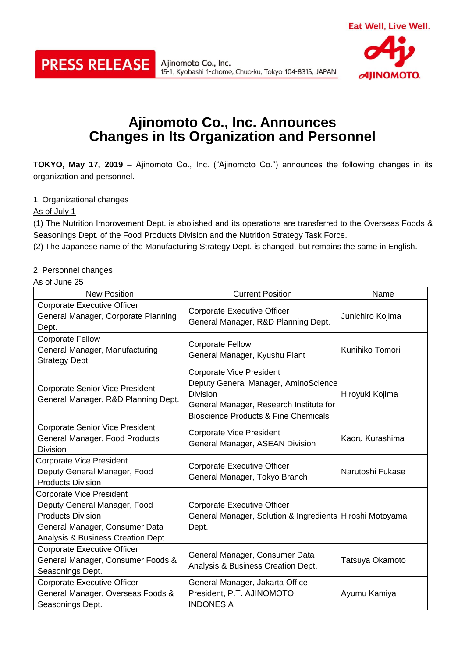

Ajinomoto Co., Inc. 15-1, Kyobashi 1-chome, Chuo-ku, Tokyo 104-8315, JAPAN



## **Ajinomoto Co., Inc. Announces Changes in Its Organization and Personnel**

**TOKYO, May 17, 2019** – Ajinomoto Co., Inc. ("Ajinomoto Co.") announces the following changes in its organization and personnel.

1. Organizational changes

As of July 1

(1) The Nutrition Improvement Dept. is abolished and its operations are transferred to the Overseas Foods & Seasonings Dept. of the Food Products Division and the Nutrition Strategy Task Force.

(2) The Japanese name of the Manufacturing Strategy Dept. is changed, but remains the same in English.

2. Personnel changes

As of June 25

| <b>New Position</b>                                                                                                                                                 | <b>Current Position</b>                                                                                                                                                                  | Name             |
|---------------------------------------------------------------------------------------------------------------------------------------------------------------------|------------------------------------------------------------------------------------------------------------------------------------------------------------------------------------------|------------------|
| <b>Corporate Executive Officer</b><br>General Manager, Corporate Planning<br>Dept.                                                                                  | Corporate Executive Officer<br>General Manager, R&D Planning Dept.                                                                                                                       | Junichiro Kojima |
| <b>Corporate Fellow</b><br>General Manager, Manufacturing<br>Strategy Dept.                                                                                         | <b>Corporate Fellow</b><br>General Manager, Kyushu Plant                                                                                                                                 | Kunihiko Tomori  |
| <b>Corporate Senior Vice President</b><br>General Manager, R&D Planning Dept.                                                                                       | <b>Corporate Vice President</b><br>Deputy General Manager, AminoScience<br><b>Division</b><br>General Manager, Research Institute for<br><b>Bioscience Products &amp; Fine Chemicals</b> | Hiroyuki Kojima  |
| <b>Corporate Senior Vice President</b><br>General Manager, Food Products<br><b>Division</b>                                                                         | <b>Corporate Vice President</b><br>General Manager, ASEAN Division                                                                                                                       | Kaoru Kurashima  |
| <b>Corporate Vice President</b><br>Deputy General Manager, Food<br><b>Products Division</b>                                                                         | <b>Corporate Executive Officer</b><br>General Manager, Tokyo Branch                                                                                                                      | Narutoshi Fukase |
| <b>Corporate Vice President</b><br>Deputy General Manager, Food<br><b>Products Division</b><br>General Manager, Consumer Data<br>Analysis & Business Creation Dept. | Corporate Executive Officer<br>General Manager, Solution & Ingredients Hiroshi Motoyama<br>Dept.                                                                                         |                  |
| Corporate Executive Officer<br>General Manager, Consumer Foods &<br>Seasonings Dept.                                                                                | General Manager, Consumer Data<br>Analysis & Business Creation Dept.                                                                                                                     | Tatsuya Okamoto  |
| <b>Corporate Executive Officer</b><br>General Manager, Overseas Foods &<br>Seasonings Dept.                                                                         | General Manager, Jakarta Office<br>President, P.T. AJINOMOTO<br><b>INDONESIA</b>                                                                                                         | Ayumu Kamiya     |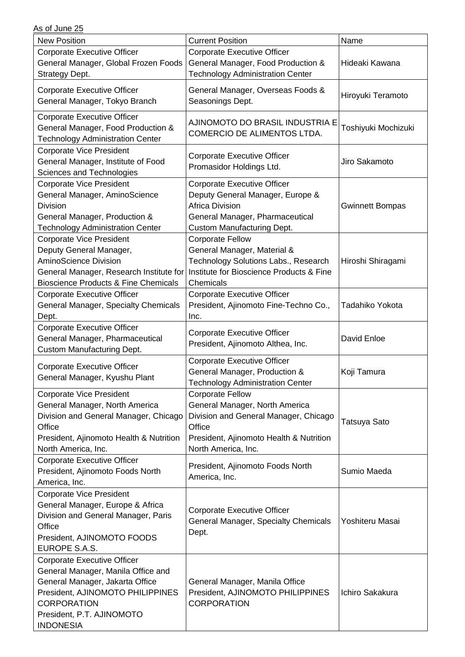| <b>New Position</b>                                                 | <b>Current Position</b>                  | Name                   |
|---------------------------------------------------------------------|------------------------------------------|------------------------|
| Corporate Executive Officer                                         | Corporate Executive Officer              |                        |
| General Manager, Global Frozen Foods                                | General Manager, Food Production &       | Hideaki Kawana         |
| Strategy Dept.                                                      | <b>Technology Administration Center</b>  |                        |
|                                                                     |                                          |                        |
| <b>Corporate Executive Officer</b>                                  | General Manager, Overseas Foods &        | Hiroyuki Teramoto      |
| General Manager, Tokyo Branch                                       | Seasonings Dept.                         |                        |
| Corporate Executive Officer                                         | AJINOMOTO DO BRASIL INDUSTRIA E          |                        |
| General Manager, Food Production &                                  | COMERCIO DE ALIMENTOS LTDA.              | Toshiyuki Mochizuki    |
| <b>Technology Administration Center</b>                             |                                          |                        |
| <b>Corporate Vice President</b>                                     |                                          |                        |
| General Manager, Institute of Food                                  | Corporate Executive Officer              | Jiro Sakamoto          |
| Sciences and Technologies                                           | Promasidor Holdings Ltd.                 |                        |
| <b>Corporate Vice President</b>                                     | Corporate Executive Officer              |                        |
| General Manager, AminoScience                                       | Deputy General Manager, Europe &         |                        |
| <b>Division</b>                                                     | <b>Africa Division</b>                   | <b>Gwinnett Bompas</b> |
| General Manager, Production &                                       | General Manager, Pharmaceutical          |                        |
| <b>Technology Administration Center</b>                             | <b>Custom Manufacturing Dept.</b>        |                        |
| <b>Corporate Vice President</b>                                     | <b>Corporate Fellow</b>                  |                        |
| Deputy General Manager,                                             | General Manager, Material &              |                        |
| <b>AminoScience Division</b>                                        | Technology Solutions Labs., Research     | Hiroshi Shiragami      |
| General Manager, Research Institute for                             | Institute for Bioscience Products & Fine |                        |
| <b>Bioscience Products &amp; Fine Chemicals</b>                     | Chemicals                                |                        |
| <b>Corporate Executive Officer</b>                                  | Corporate Executive Officer              |                        |
| General Manager, Specialty Chemicals                                | President, Ajinomoto Fine-Techno Co.,    | Tadahiko Yokota        |
| Dept.                                                               | Inc.                                     |                        |
| Corporate Executive Officer                                         | Corporate Executive Officer              |                        |
| General Manager, Pharmaceutical                                     | President, Ajinomoto Althea, Inc.        | David Enloe            |
| <b>Custom Manufacturing Dept.</b>                                   |                                          |                        |
| Corporate Executive Officer                                         | <b>Corporate Executive Officer</b>       |                        |
| General Manager, Kyushu Plant                                       | General Manager, Production &            | Koji Tamura            |
|                                                                     | <b>Technology Administration Center</b>  |                        |
| <b>Corporate Vice President</b>                                     | <b>Corporate Fellow</b>                  |                        |
| General Manager, North America                                      | General Manager, North America           |                        |
| Division and General Manager, Chicago                               | Division and General Manager, Chicago    | <b>Tatsuya Sato</b>    |
| Office                                                              | Office                                   |                        |
| President, Ajinomoto Health & Nutrition                             | President, Ajinomoto Health & Nutrition  |                        |
| North America, Inc.                                                 | North America, Inc.                      |                        |
| Corporate Executive Officer                                         | President, Ajinomoto Foods North         |                        |
| President, Ajinomoto Foods North                                    | America, Inc.                            | Sumio Maeda            |
| America, Inc.                                                       |                                          |                        |
| <b>Corporate Vice President</b><br>General Manager, Europe & Africa |                                          |                        |
| Division and General Manager, Paris                                 | Corporate Executive Officer              |                        |
| Office                                                              | General Manager, Specialty Chemicals     | Yoshiteru Masai        |
| President, AJINOMOTO FOODS                                          | Dept.                                    |                        |
| EUROPE S.A.S.                                                       |                                          |                        |
| Corporate Executive Officer                                         |                                          |                        |
| General Manager, Manila Office and                                  |                                          |                        |
| General Manager, Jakarta Office                                     | General Manager, Manila Office           |                        |
| President, AJINOMOTO PHILIPPINES                                    | President, AJINOMOTO PHILIPPINES         | Ichiro Sakakura        |
| <b>CORPORATION</b>                                                  | <b>CORPORATION</b>                       |                        |
| President, P.T. AJINOMOTO                                           |                                          |                        |
| <b>INDONESIA</b>                                                    |                                          |                        |
|                                                                     |                                          |                        |

As of June 25